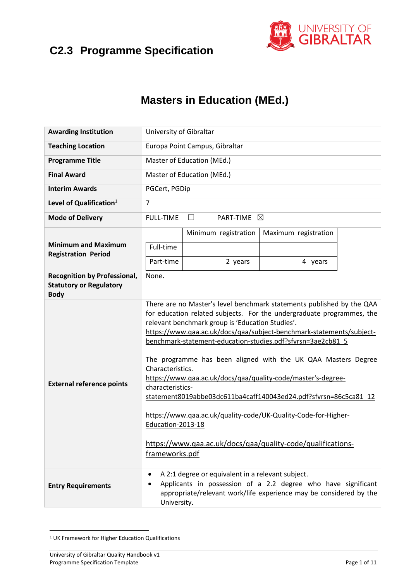

# **Masters in Education (MEd.)**

| <b>Awarding Institution</b>                                                          | University of Gibraltar                                                                                                                                                                                                   |                                                  |                                                                                                                                                                                                                                                                                                                                                                                                                                                                                                                                                                                                                             |  |  |  |  |  |  |
|--------------------------------------------------------------------------------------|---------------------------------------------------------------------------------------------------------------------------------------------------------------------------------------------------------------------------|--------------------------------------------------|-----------------------------------------------------------------------------------------------------------------------------------------------------------------------------------------------------------------------------------------------------------------------------------------------------------------------------------------------------------------------------------------------------------------------------------------------------------------------------------------------------------------------------------------------------------------------------------------------------------------------------|--|--|--|--|--|--|
| <b>Teaching Location</b>                                                             | Europa Point Campus, Gibraltar                                                                                                                                                                                            |                                                  |                                                                                                                                                                                                                                                                                                                                                                                                                                                                                                                                                                                                                             |  |  |  |  |  |  |
| <b>Programme Title</b>                                                               |                                                                                                                                                                                                                           | Master of Education (MEd.)                       |                                                                                                                                                                                                                                                                                                                                                                                                                                                                                                                                                                                                                             |  |  |  |  |  |  |
| <b>Final Award</b>                                                                   |                                                                                                                                                                                                                           | Master of Education (MEd.)                       |                                                                                                                                                                                                                                                                                                                                                                                                                                                                                                                                                                                                                             |  |  |  |  |  |  |
| <b>Interim Awards</b>                                                                | PGCert, PGDip                                                                                                                                                                                                             |                                                  |                                                                                                                                                                                                                                                                                                                                                                                                                                                                                                                                                                                                                             |  |  |  |  |  |  |
| Level of Qualification $1$                                                           | $\overline{7}$                                                                                                                                                                                                            |                                                  |                                                                                                                                                                                                                                                                                                                                                                                                                                                                                                                                                                                                                             |  |  |  |  |  |  |
| <b>Mode of Delivery</b>                                                              | <b>FULL-TIME</b>                                                                                                                                                                                                          | PART-TIME ⊠<br>$\perp$                           |                                                                                                                                                                                                                                                                                                                                                                                                                                                                                                                                                                                                                             |  |  |  |  |  |  |
|                                                                                      |                                                                                                                                                                                                                           | Minimum registration                             | Maximum registration                                                                                                                                                                                                                                                                                                                                                                                                                                                                                                                                                                                                        |  |  |  |  |  |  |
| <b>Minimum and Maximum</b><br><b>Registration Period</b>                             | Full-time                                                                                                                                                                                                                 |                                                  |                                                                                                                                                                                                                                                                                                                                                                                                                                                                                                                                                                                                                             |  |  |  |  |  |  |
|                                                                                      | Part-time                                                                                                                                                                                                                 | 2 years                                          | 4 years                                                                                                                                                                                                                                                                                                                                                                                                                                                                                                                                                                                                                     |  |  |  |  |  |  |
| <b>Recognition by Professional,</b><br><b>Statutory or Regulatory</b><br><b>Body</b> | None.                                                                                                                                                                                                                     |                                                  |                                                                                                                                                                                                                                                                                                                                                                                                                                                                                                                                                                                                                             |  |  |  |  |  |  |
| <b>External reference points</b>                                                     | Characteristics.<br>characteristics-<br>Education-2013-18<br>frameworks.pdf                                                                                                                                               | relevant benchmark group is 'Education Studies'. | There are no Master's level benchmark statements published by the QAA<br>for education related subjects. For the undergraduate programmes, the<br>https://www.qaa.ac.uk/docs/qaa/subject-benchmark-statements/subject-<br>benchmark-statement-education-studies.pdf?sfvrsn=3ae2cb81_5<br>The programme has been aligned with the UK QAA Masters Degree<br>https://www.qaa.ac.uk/docs/qaa/quality-code/master's-degree-<br>statement8019abbe03dc611ba4caff140043ed24.pdf?sfvrsn=86c5ca81 12<br>https://www.qaa.ac.uk/quality-code/UK-Quality-Code-for-Higher-<br>https://www.qaa.ac.uk/docs/qaa/quality-code/qualifications- |  |  |  |  |  |  |
| <b>Entry Requirements</b>                                                            | A 2:1 degree or equivalent in a relevant subject.<br>$\bullet$<br>Applicants in possession of a 2.2 degree who have significant<br>٠<br>appropriate/relevant work/life experience may be considered by the<br>University. |                                                  |                                                                                                                                                                                                                                                                                                                                                                                                                                                                                                                                                                                                                             |  |  |  |  |  |  |

**<sup>.</sup>** <sup>1</sup> UK Framework for Higher Education Qualifications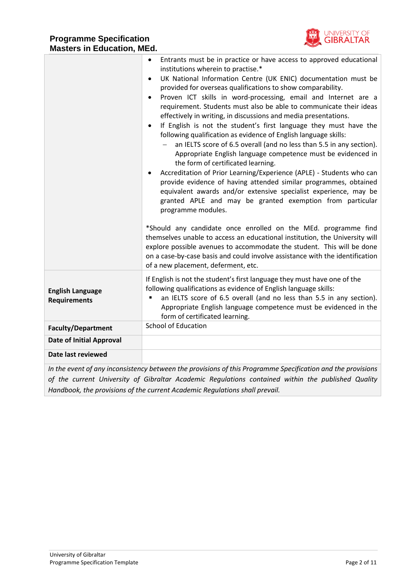

|                                                | Entrants must be in practice or have access to approved educational<br>$\bullet$<br>institutions wherein to practise.*<br>UK National Information Centre (UK ENIC) documentation must be<br>$\bullet$<br>provided for overseas qualifications to show comparability.<br>Proven ICT skills in word-processing, email and Internet are a<br>$\bullet$<br>requirement. Students must also be able to communicate their ideas<br>effectively in writing, in discussions and media presentations.<br>If English is not the student's first language they must have the<br>$\bullet$<br>following qualification as evidence of English language skills:<br>an IELTS score of 6.5 overall (and no less than 5.5 in any section).<br>Appropriate English language competence must be evidenced in<br>the form of certificated learning.<br>Accreditation of Prior Learning/Experience (APLE) - Students who can<br>٠<br>provide evidence of having attended similar programmes, obtained<br>equivalent awards and/or extensive specialist experience, may be<br>granted APLE and may be granted exemption from particular<br>programme modules.<br>*Should any candidate once enrolled on the MEd. programme find<br>themselves unable to access an educational institution, the University will<br>explore possible avenues to accommodate the student. This will be done<br>on a case-by-case basis and could involve assistance with the identification<br>of a new placement, deferment, etc. |
|------------------------------------------------|-------------------------------------------------------------------------------------------------------------------------------------------------------------------------------------------------------------------------------------------------------------------------------------------------------------------------------------------------------------------------------------------------------------------------------------------------------------------------------------------------------------------------------------------------------------------------------------------------------------------------------------------------------------------------------------------------------------------------------------------------------------------------------------------------------------------------------------------------------------------------------------------------------------------------------------------------------------------------------------------------------------------------------------------------------------------------------------------------------------------------------------------------------------------------------------------------------------------------------------------------------------------------------------------------------------------------------------------------------------------------------------------------------------------------------------------------------------------------------------------|
| <b>English Language</b><br><b>Requirements</b> | If English is not the student's first language they must have one of the<br>following qualifications as evidence of English language skills:<br>an IELTS score of 6.5 overall (and no less than 5.5 in any section).<br>Appropriate English language competence must be evidenced in the<br>form of certificated learning.                                                                                                                                                                                                                                                                                                                                                                                                                                                                                                                                                                                                                                                                                                                                                                                                                                                                                                                                                                                                                                                                                                                                                                |
| <b>Faculty/Department</b>                      | <b>School of Education</b>                                                                                                                                                                                                                                                                                                                                                                                                                                                                                                                                                                                                                                                                                                                                                                                                                                                                                                                                                                                                                                                                                                                                                                                                                                                                                                                                                                                                                                                                |
| <b>Date of Initial Approval</b>                |                                                                                                                                                                                                                                                                                                                                                                                                                                                                                                                                                                                                                                                                                                                                                                                                                                                                                                                                                                                                                                                                                                                                                                                                                                                                                                                                                                                                                                                                                           |
| Date last reviewed                             |                                                                                                                                                                                                                                                                                                                                                                                                                                                                                                                                                                                                                                                                                                                                                                                                                                                                                                                                                                                                                                                                                                                                                                                                                                                                                                                                                                                                                                                                                           |
|                                                | In the event of any inconsistency between the provisions of this Programme Specification and the provisions                                                                                                                                                                                                                                                                                                                                                                                                                                                                                                                                                                                                                                                                                                                                                                                                                                                                                                                                                                                                                                                                                                                                                                                                                                                                                                                                                                               |
|                                                | of the current University of Gibraltar Academic Regulations contained within the published Quality                                                                                                                                                                                                                                                                                                                                                                                                                                                                                                                                                                                                                                                                                                                                                                                                                                                                                                                                                                                                                                                                                                                                                                                                                                                                                                                                                                                        |

*Handbook, the provisions of the current Academic Regulations shall prevail.*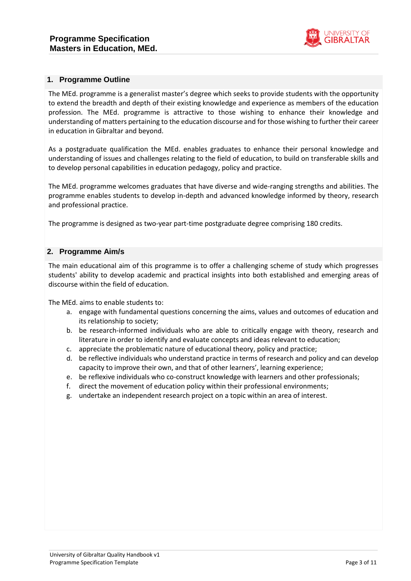

#### **1. Programme Outline**

The MEd. programme is a generalist master's degree which seeks to provide students with the opportunity to extend the breadth and depth of their existing knowledge and experience as members of the education profession. The MEd. programme is attractive to those wishing to enhance their knowledge and understanding of matters pertaining to the education discourse and for those wishing to further their career in education in Gibraltar and beyond.

As a postgraduate qualification the MEd. enables graduates to enhance their personal knowledge and understanding of issues and challenges relating to the field of education, to build on transferable skills and to develop personal capabilities in education pedagogy, policy and practice.

The MEd. programme welcomes graduates that have diverse and wide-ranging strengths and abilities. The programme enables students to develop in-depth and advanced knowledge informed by theory, research and professional practice.

The programme is designed as two-year part-time postgraduate degree comprising 180 credits.

#### **2. Programme Aim/s**

The main educational aim of this programme is to offer a challenging scheme of study which progresses students' ability to develop academic and practical insights into both established and emerging areas of discourse within the field of education.

The MEd. aims to enable students to:

- a. engage with fundamental questions concerning the aims, values and outcomes of education and its relationship to society;
- b. be research-informed individuals who are able to critically engage with theory, research and literature in order to identify and evaluate concepts and ideas relevant to education;
- c. appreciate the problematic nature of educational theory, policy and practice;
- d. be reflective individuals who understand practice in terms of research and policy and can develop capacity to improve their own, and that of other learners', learning experience;
- e. be reflexive individuals who co-construct knowledge with learners and other professionals;
- f. direct the movement of education policy within their professional environments;
- g. undertake an independent research project on a topic within an area of interest.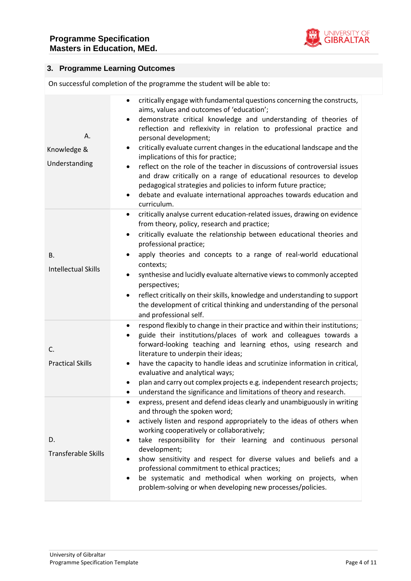

# **3. Programme Learning Outcomes**

On successful completion of the programme the student will be able to:

| Α.<br>Knowledge &<br>Understanding | critically engage with fundamental questions concerning the constructs,<br>$\bullet$<br>aims, values and outcomes of 'education';<br>demonstrate critical knowledge and understanding of theories of<br>$\bullet$<br>reflection and reflexivity in relation to professional practice and<br>personal development;<br>critically evaluate current changes in the educational landscape and the<br>٠<br>implications of this for practice;<br>reflect on the role of the teacher in discussions of controversial issues<br>and draw critically on a range of educational resources to develop<br>pedagogical strategies and policies to inform future practice;<br>debate and evaluate international approaches towards education and<br>curriculum. |
|------------------------------------|----------------------------------------------------------------------------------------------------------------------------------------------------------------------------------------------------------------------------------------------------------------------------------------------------------------------------------------------------------------------------------------------------------------------------------------------------------------------------------------------------------------------------------------------------------------------------------------------------------------------------------------------------------------------------------------------------------------------------------------------------|
| В.<br><b>Intellectual Skills</b>   | critically analyse current education-related issues, drawing on evidence<br>$\bullet$<br>from theory, policy, research and practice;<br>critically evaluate the relationship between educational theories and<br>$\bullet$<br>professional practice;<br>apply theories and concepts to a range of real-world educational<br>contexts;<br>synthesise and lucidly evaluate alternative views to commonly accepted<br>perspectives;<br>reflect critically on their skills, knowledge and understanding to support<br>٠<br>the development of critical thinking and understanding of the personal<br>and professional self.                                                                                                                            |
| C.<br><b>Practical Skills</b>      | respond flexibly to change in their practice and within their institutions;<br>$\bullet$<br>guide their institutions/places of work and colleagues towards a<br>forward-looking teaching and learning ethos, using research and<br>literature to underpin their ideas;<br>have the capacity to handle ideas and scrutinize information in critical,<br>evaluative and analytical ways;<br>plan and carry out complex projects e.g. independent research projects;<br>understand the significance and limitations of theory and research.<br>$\bullet$                                                                                                                                                                                              |
| D.<br><b>Transferable Skills</b>   | express, present and defend ideas clearly and unambiguously in writing<br>and through the spoken word;<br>actively listen and respond appropriately to the ideas of others when<br>$\bullet$<br>working cooperatively or collaboratively;<br>take responsibility for their learning and continuous personal<br>development;<br>show sensitivity and respect for diverse values and beliefs and a<br>professional commitment to ethical practices;<br>be systematic and methodical when working on projects, when<br>problem-solving or when developing new processes/policies.                                                                                                                                                                     |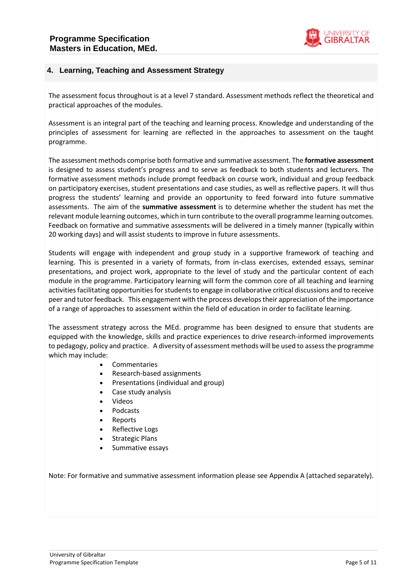

### **4. Learning, Teaching and Assessment Strategy**

The assessment focus throughout is at a level 7 standard. Assessment methods reflect the theoretical and practical approaches of the modules.

Assessment is an integral part of the teaching and learning process. Knowledge and understanding of the principles of assessment for learning are reflected in the approaches to assessment on the taught programme.

The assessment methods comprise both formative and summative assessment. The **formative assessment**  is designed to assess student's progress and to serve as feedback to both students and lecturers. The formative assessment methods include prompt feedback on course work, individual and group feedback on participatory exercises, student presentations and case studies, as well as reflective papers. It will thus progress the students' learning and provide an opportunity to feed forward into future summative assessments. The aim of the **summative assessment** is to determine whether the student has met the relevant module learning outcomes, which in turn contribute to the overall programme learning outcomes. Feedback on formative and summative assessments will be delivered in a timely manner (typically within 20 working days) and will assist students to improve in future assessments.

Students will engage with independent and group study in a supportive framework of teaching and learning. This is presented in a variety of formats, from in-class exercises, extended essays, seminar presentations, and project work, appropriate to the level of study and the particular content of each module in the programme. Participatory learning will form the common core of all teaching and learning activities facilitating opportunities for students to engage in collaborative critical discussions and to receive peer and tutor feedback. This engagement with the process develops their appreciation of the importance of a range of approaches to assessment within the field of education in order to facilitate learning.

The assessment strategy across the MEd. programme has been designed to ensure that students are equipped with the knowledge, skills and practice experiences to drive research-informed improvements to pedagogy, policy and practice. A diversity of assessment methods will be used to assess the programme which may include:

- Commentaries
- Research-based assignments
- Presentations (individual and group)
- Case study analysis
- Videos
- Podcasts
- Reports
- Reflective Logs
- Strategic Plans
- Summative essays

Note: For formative and summative assessment information please see Appendix A (attached separately).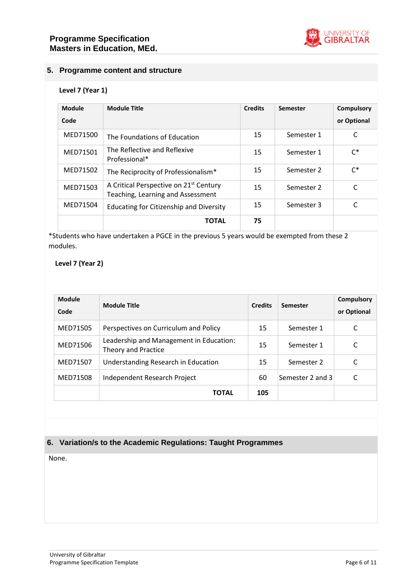

# **5. Programme content and structure**

#### **Level 7 (Year 1)**

| Module<br>Code | <b>Module Title</b>                                                                     | <b>Credits</b> | <b>Semester</b> | <b>Compulsory</b><br>or Optional |
|----------------|-----------------------------------------------------------------------------------------|----------------|-----------------|----------------------------------|
| MED71500       | The Foundations of Education                                                            | 15             | Semester 1      | C                                |
| MED71501       | The Reflective and Reflexive<br>Professional*                                           | 15             | Semester 1      | $C^*$                            |
| MED71502       | The Reciprocity of Professionalism*                                                     | 15             | Semester 2      | $C^*$                            |
| MED71503       | A Critical Perspective on 21 <sup>st</sup> Century<br>Teaching, Learning and Assessment | 15             | Semester 2      | C                                |
| MED71504       | Educating for Citizenship and Diversity                                                 | 15             | Semester 3      | C                                |
|                | <b>TOTAL</b>                                                                            | 75             |                 |                                  |

\*Students who have undertaken a PGCE in the previous 5 years would be exempted from these 2 modules.

#### **Level 7 (Year 2)**

| <b>Module</b><br>Code | <b>Module Title</b>                                            | <b>Credits</b> | <b>Semester</b>  | <b>Compulsory</b><br>or Optional |
|-----------------------|----------------------------------------------------------------|----------------|------------------|----------------------------------|
| MED71505              | Perspectives on Curriculum and Policy                          | 15             | Semester 1       | C                                |
| MED71506              | Leadership and Management in Education:<br>Theory and Practice | 15             | Semester 1       | C                                |
| MED71507              | Understanding Research in Education                            | 15             | Semester 2       | C                                |
| MED71508              | Independent Research Project                                   | 60             | Semester 2 and 3 | C                                |
|                       | ΤΟΤΑL                                                          | 105            |                  |                                  |

# **6. Variation/s to the Academic Regulations: Taught Programmes**

None.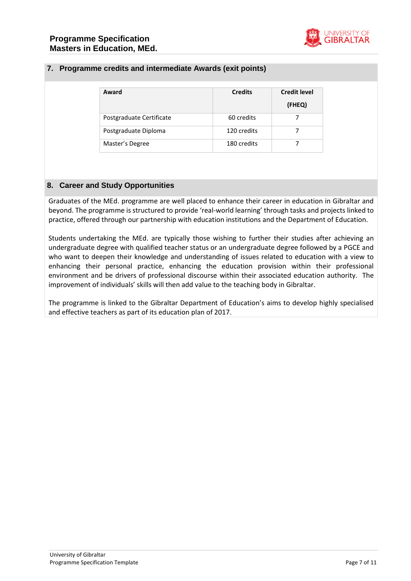

## **7. Programme credits and intermediate Awards (exit points)**

| Award                    | <b>Credits</b> | <b>Credit level</b><br>(FHEQ) |
|--------------------------|----------------|-------------------------------|
| Postgraduate Certificate | 60 credits     |                               |
| Postgraduate Diploma     | 120 credits    |                               |
| Master's Degree          | 180 credits    |                               |

#### **8. Career and Study Opportunities**

Graduates of the MEd. programme are well placed to enhance their career in education in Gibraltar and beyond. The programme is structured to provide 'real-world learning' through tasks and projects linked to practice, offered through our partnership with education institutions and the Department of Education.

Students undertaking the MEd. are typically those wishing to further their studies after achieving an undergraduate degree with qualified teacher status or an undergraduate degree followed by a PGCE and who want to deepen their knowledge and understanding of issues related to education with a view to enhancing their personal practice, enhancing the education provision within their professional environment and be drivers of professional discourse within their associated education authority. The improvement of individuals' skills will then add value to the teaching body in Gibraltar.

The programme is linked to the Gibraltar Department of Education's aims to develop highly specialised and effective teachers as part of its education plan of 2017.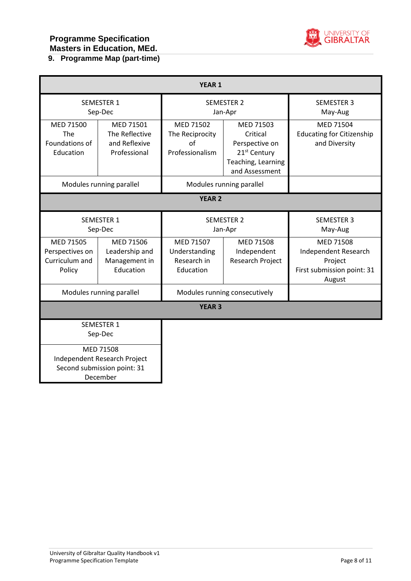

# **9. Programme Map (part-time)**

| <b>YEAR 1</b>                                            |                                                                                      |                                                                                                                      |                                                                                                             |                                                                                             |  |  |  |
|----------------------------------------------------------|--------------------------------------------------------------------------------------|----------------------------------------------------------------------------------------------------------------------|-------------------------------------------------------------------------------------------------------------|---------------------------------------------------------------------------------------------|--|--|--|
|                                                          | SEMESTER 1<br>Sep-Dec                                                                |                                                                                                                      | <b>SEMESTER 2</b><br>Jan-Apr                                                                                | <b>SEMESTER 3</b><br>May-Aug                                                                |  |  |  |
| MED 71500<br><b>The</b><br>Foundations of<br>Education   | MED 71501<br>The Reflective<br>and Reflexive<br>Professional                         | MED 71502<br>The Reciprocity<br>of<br>Professionalism                                                                | MED 71503<br>Critical<br>Perspective on<br>21 <sup>st</sup> Century<br>Teaching, Learning<br>and Assessment | MED 71504<br><b>Educating for Citizenship</b><br>and Diversity                              |  |  |  |
| Modules running parallel<br>Modules running parallel     |                                                                                      |                                                                                                                      |                                                                                                             |                                                                                             |  |  |  |
|                                                          |                                                                                      | <b>YEAR 2</b>                                                                                                        |                                                                                                             |                                                                                             |  |  |  |
| <b>SEMESTER 1</b><br>Sep-Dec                             |                                                                                      |                                                                                                                      | <b>SEMESTER 2</b><br>Jan-Apr                                                                                | <b>SEMESTER 3</b><br>May-Aug                                                                |  |  |  |
| MED 71505<br>Perspectives on<br>Curriculum and<br>Policy | MED 71506<br>Leadership and<br>Management in<br>Education                            | MED 71507<br><b>MED 71508</b><br>Understanding<br>Independent<br>Research in<br><b>Research Project</b><br>Education |                                                                                                             | <b>MED 71508</b><br>Independent Research<br>Project<br>First submission point: 31<br>August |  |  |  |
|                                                          | Modules running parallel                                                             |                                                                                                                      | Modules running consecutively                                                                               |                                                                                             |  |  |  |
|                                                          |                                                                                      | <b>YEAR 3</b>                                                                                                        |                                                                                                             |                                                                                             |  |  |  |
|                                                          | <b>SEMESTER 1</b><br>Sep-Dec                                                         |                                                                                                                      |                                                                                                             |                                                                                             |  |  |  |
|                                                          | MED 71508<br>Independent Research Project<br>Second submission point: 31<br>December |                                                                                                                      |                                                                                                             |                                                                                             |  |  |  |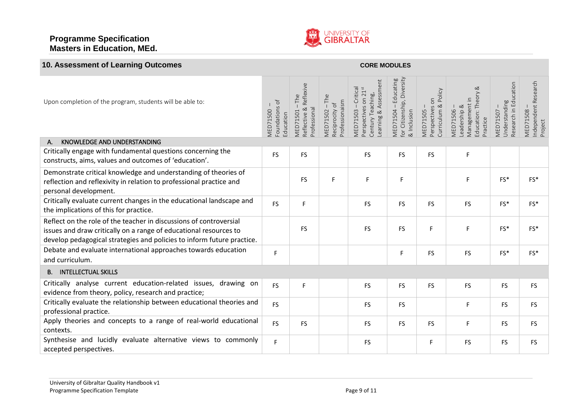# **Programme Specification Masters in Education, MEd.**



| 10. Assessment of Learning Outcomes                                                                                                                                                                               |                                                |                                                                  |                                                         | <b>CORE MODULES</b>                                                                       |                                                                                      |                                                           |                                                                                 |                                                    |                                                    |
|-------------------------------------------------------------------------------------------------------------------------------------------------------------------------------------------------------------------|------------------------------------------------|------------------------------------------------------------------|---------------------------------------------------------|-------------------------------------------------------------------------------------------|--------------------------------------------------------------------------------------|-----------------------------------------------------------|---------------------------------------------------------------------------------|----------------------------------------------------|----------------------------------------------------|
| Upon completion of the program, students will be able to:                                                                                                                                                         | Foundations of<br><b>MED71500</b><br>Education | Reflective & Reflexive<br>The<br>Professional<br><b>MED71501</b> | <b>MED71502-The</b><br>Professionaism<br>Reciprocity of | Learning & Assessment<br>MED71503 - Critical<br>Perspectives on 21st<br>Century Teaching, | for Citizenship, Diversity<br>Educating<br>$\perp$<br>& Inclusion<br><b>MED71504</b> | Perspectives on<br>Curriculum & Policy<br><b>MED71505</b> | ≪<br>Education: Theory<br>Management in<br>Leadership &<br>MED71506<br>Practice | Research in Education<br>Understanding<br>MED71507 | Independent Research<br><b>MED71508</b><br>Project |
| KNOWLEDGE AND UNDERSTANDING<br>Α.                                                                                                                                                                                 |                                                |                                                                  |                                                         |                                                                                           |                                                                                      |                                                           |                                                                                 |                                                    |                                                    |
| Critically engage with fundamental questions concerning the<br>constructs, aims, values and outcomes of 'education'.                                                                                              | <b>FS</b>                                      | <b>FS</b>                                                        |                                                         | <b>FS</b>                                                                                 | <b>FS</b>                                                                            | <b>FS</b>                                                 | F                                                                               |                                                    |                                                    |
| Demonstrate critical knowledge and understanding of theories of<br>reflection and reflexivity in relation to professional practice and<br>personal development.                                                   |                                                | <b>FS</b>                                                        | F                                                       | F                                                                                         | F                                                                                    |                                                           | F                                                                               | FS*                                                | FS*                                                |
| Critically evaluate current changes in the educational landscape and<br>the implications of this for practice.                                                                                                    | <b>FS</b>                                      | F.                                                               |                                                         | <b>FS</b>                                                                                 | <b>FS</b>                                                                            | <b>FS</b>                                                 | <b>FS</b>                                                                       | FS*                                                | FS*                                                |
| Reflect on the role of the teacher in discussions of controversial<br>issues and draw critically on a range of educational resources to<br>develop pedagogical strategies and policies to inform future practice. |                                                | <b>FS</b>                                                        |                                                         | <b>FS</b>                                                                                 | <b>FS</b>                                                                            | F                                                         | F                                                                               | FS*                                                | FS*                                                |
| Debate and evaluate international approaches towards education<br>and curriculum.                                                                                                                                 | F                                              |                                                                  |                                                         |                                                                                           | F                                                                                    | FS                                                        | <b>FS</b>                                                                       | $FS*$                                              | FS*                                                |
| <b>INTELLECTUAL SKILLS</b><br><b>B.</b>                                                                                                                                                                           |                                                |                                                                  |                                                         |                                                                                           |                                                                                      |                                                           |                                                                                 |                                                    |                                                    |
| Critically analyse current education-related issues, drawing on<br>evidence from theory, policy, research and practice;                                                                                           | <b>FS</b>                                      | F                                                                |                                                         | FS                                                                                        | <b>FS</b>                                                                            | <b>FS</b>                                                 | FS                                                                              | <b>FS</b>                                          | <b>FS</b>                                          |
| Critically evaluate the relationship between educational theories and<br>professional practice.                                                                                                                   | <b>FS</b>                                      |                                                                  |                                                         | <b>FS</b>                                                                                 | <b>FS</b>                                                                            |                                                           | F                                                                               | <b>FS</b>                                          | <b>FS</b>                                          |
| Apply theories and concepts to a range of real-world educational<br>contexts.                                                                                                                                     | <b>FS</b>                                      | <b>FS</b>                                                        |                                                         | <b>FS</b>                                                                                 | <b>FS</b>                                                                            | <b>FS</b>                                                 | F                                                                               | <b>FS</b>                                          | <b>FS</b>                                          |
| Synthesise and lucidly evaluate alternative views to commonly<br>accepted perspectives.                                                                                                                           | F                                              |                                                                  |                                                         | <b>FS</b>                                                                                 |                                                                                      | F                                                         | <b>FS</b>                                                                       | <b>FS</b>                                          | <b>FS</b>                                          |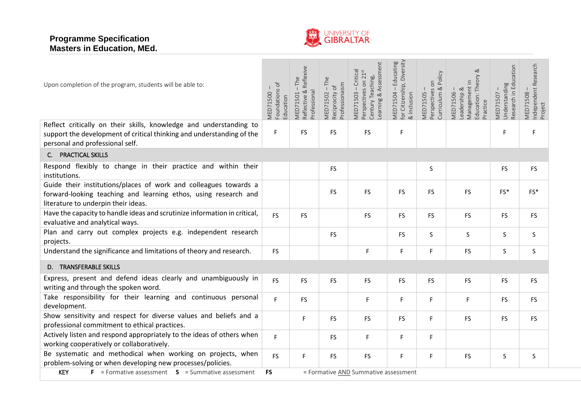

| Upon completion of the program, students will be able to:                                                                                                                      | MED71500 -<br>Foundations of<br>Education | MED71501 – The<br>Reflective & Reflexive<br>Professional | MED71502-The<br>Professionaism<br>Reciprocity of | Learning & Assessment<br>MED71503 – Critical<br>Perspectives on 21 <sup>st</sup><br>Century Teaching, | MED71504 – Educating<br>for Citizenship, Diversity<br>& Inclusion | Curriculum & Policy<br>MED71505 -<br>Perspectives on | ವ<br>Management in<br>Education: Theory<br>MED71506 -<br>Leadership &<br>Practice | Research in Education<br>MED71507 -<br>Understanding | MED71508 –<br>Independent Research<br>Project |
|--------------------------------------------------------------------------------------------------------------------------------------------------------------------------------|-------------------------------------------|----------------------------------------------------------|--------------------------------------------------|-------------------------------------------------------------------------------------------------------|-------------------------------------------------------------------|------------------------------------------------------|-----------------------------------------------------------------------------------|------------------------------------------------------|-----------------------------------------------|
| Reflect critically on their skills, knowledge and understanding to<br>support the development of critical thinking and understanding of the<br>personal and professional self. | F                                         | <b>FS</b>                                                | FS                                               | <b>FS</b>                                                                                             | $\mathsf F$                                                       |                                                      |                                                                                   | F                                                    | F                                             |
| <b>PRACTICAL SKILLS</b><br>C.                                                                                                                                                  |                                           |                                                          |                                                  |                                                                                                       |                                                                   |                                                      |                                                                                   |                                                      |                                               |
| Respond flexibly to change in their practice and within their<br>institutions.                                                                                                 |                                           |                                                          | <b>FS</b>                                        |                                                                                                       |                                                                   | S                                                    |                                                                                   | <b>FS</b>                                            | <b>FS</b>                                     |
| Guide their institutions/places of work and colleagues towards a<br>forward-looking teaching and learning ethos, using research and<br>literature to underpin their ideas.     |                                           |                                                          | FS                                               | <b>FS</b>                                                                                             | FS                                                                | <b>FS</b>                                            | <b>FS</b>                                                                         | $FS*$                                                | FS*                                           |
| Have the capacity to handle ideas and scrutinize information in critical,<br>evaluative and analytical ways.                                                                   | <b>FS</b>                                 | <b>FS</b>                                                |                                                  | <b>FS</b>                                                                                             | <b>FS</b>                                                         | <b>FS</b>                                            | <b>FS</b>                                                                         | <b>FS</b>                                            | <b>FS</b>                                     |
| Plan and carry out complex projects e.g. independent research<br>projects.                                                                                                     |                                           |                                                          | FS                                               |                                                                                                       | <b>FS</b>                                                         | S                                                    | S                                                                                 | S                                                    | S.                                            |
| Understand the significance and limitations of theory and research.                                                                                                            | <b>FS</b>                                 |                                                          |                                                  | F                                                                                                     | F                                                                 | F                                                    | <b>FS</b>                                                                         | $\sf S$                                              | S                                             |
| D. TRANSFERABLE SKILLS                                                                                                                                                         |                                           |                                                          |                                                  |                                                                                                       |                                                                   |                                                      |                                                                                   |                                                      |                                               |
| Express, present and defend ideas clearly and unambiguously in<br>writing and through the spoken word.                                                                         | <b>FS</b>                                 | <b>FS</b>                                                | <b>FS</b>                                        | <b>FS</b>                                                                                             | FS                                                                | <b>FS</b>                                            | <b>FS</b>                                                                         | <b>FS</b>                                            | <b>FS</b>                                     |
| Take responsibility for their learning and continuous personal<br>development.                                                                                                 | F.                                        | <b>FS</b>                                                |                                                  | F                                                                                                     | F                                                                 | F.                                                   | F                                                                                 | <b>FS</b>                                            | <b>FS</b>                                     |
| Show sensitivity and respect for diverse values and beliefs and a<br>professional commitment to ethical practices.                                                             |                                           | F                                                        | <b>FS</b>                                        | <b>FS</b>                                                                                             | <b>FS</b>                                                         | F.                                                   | <b>FS</b>                                                                         | <b>FS</b>                                            | <b>FS</b>                                     |
| Actively listen and respond appropriately to the ideas of others when<br>working cooperatively or collaboratively.                                                             | F.                                        |                                                          | <b>FS</b>                                        | F                                                                                                     | F                                                                 | F                                                    |                                                                                   |                                                      |                                               |
| Be systematic and methodical when working on projects, when<br>problem-solving or when developing new processes/policies.                                                      | <b>FS</b>                                 | F                                                        | FS                                               | <b>FS</b>                                                                                             | $\mathsf F$                                                       | F                                                    | <b>FS</b>                                                                         | $\sf S$                                              | S                                             |
| <b>KEY</b><br><b>F</b> = Formative assessment $S$ = Summative assessment                                                                                                       | <b>FS</b>                                 |                                                          |                                                  | = Formative AND Summative assessment                                                                  |                                                                   |                                                      |                                                                                   |                                                      |                                               |